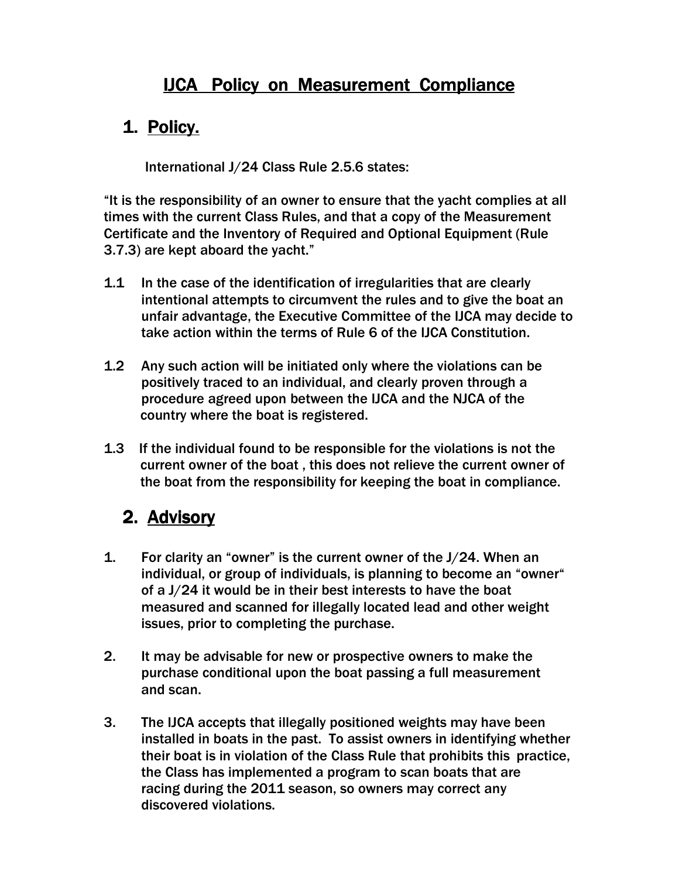## **IJCA Policy on Measurement Compliance**

## 1. Policy.

International J/24 Class Rule 2.5.6 states:

"It is the responsibility of an owner to ensure that the yacht complies at all times with the current Class Rules, and that a copy of the Measurement Certificate and the Inventory of Required and Optional Equipment (Rule 3.7.3) are kept aboard the yacht."

- 1.1 In the case of the identification of irregularities that are clearly intentional attempts to circumvent the rules and to give the boat an unfair advantage, the Executive Committee of the IJCA may decide to take action within the terms of Rule 6 of the IJCA Constitution.
- 1.2 Any such action will be initiated only where the violations can be positively traced to an individual, and clearly proven through a procedure agreed upon between the IJCA and the NJCA of the country where the boat is registered.
- 1.3 If the individual found to be responsible for the violations is not the current owner of the boat , this does not relieve the current owner of the boat from the responsibility for keeping the boat in compliance.

## 2. Advisory

- 1. For clarity an "owner" is the current owner of the J/24. When an individual, or group of individuals, is planning to become an "owner" of a J/24 it would be in their best interests to have the boat measured and scanned for illegally located lead and other weight issues, prior to completing the purchase.
- 2. It may be advisable for new or prospective owners to make the purchase conditional upon the boat passing a full measurement and scan.
- 3. The IJCA accepts that illegally positioned weights may have been installed in boats in the past. To assist owners in identifying whether their boat is in violation of the Class Rule that prohibits this practice, the Class has implemented a program to scan boats that are racing during the 2011 season, so owners may correct any discovered violations.